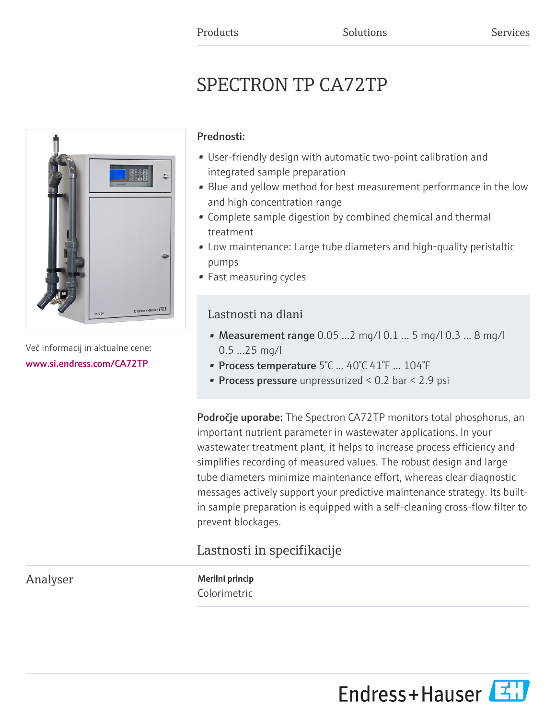# SPECTRON TP CA72TP



Več informacij in aktualne cene: [www.si.endress.com/CA72TP](https://www.si.endress.com/CA72TP)

#### Prednosti:

- User-friendly design with automatic two-point calibration and integrated sample preparation
- Blue and yellow method for best measurement performance in the low and high concentration range
- Complete sample digestion by combined chemical and thermal treatment
- Low maintenance: Large tube diameters and high-quality peristaltic pumps
- Fast measuring cycles

### Lastnosti na dlani

- Measurement range  $0.05$  ...2 mg/l  $0.1$  ... 5 mg/l  $0.3$  ... 8 mg/l 0.5 ...25 mg/l
- Process temperature 5°C ... 40°C 41°F ... 104°F
- **Process pressure** unpressurized  $< 0.2$  bar  $< 2.9$  psi

**Področje uporabe:** The Spectron CA72TP monitors total phosphorus, an important nutrient parameter in wastewater applications. In your wastewater treatment plant, it helps to increase process efficiency and simplifies recording of measured values. The robust design and large tube diameters minimize maintenance effort, whereas clear diagnostic messages actively support your predictive maintenance strategy. Its builtin sample preparation is equipped with a self-cleaning cross-flow filter to prevent blockages.

## Lastnosti in specifikacije

Analyser Merilni princip Colorimetric

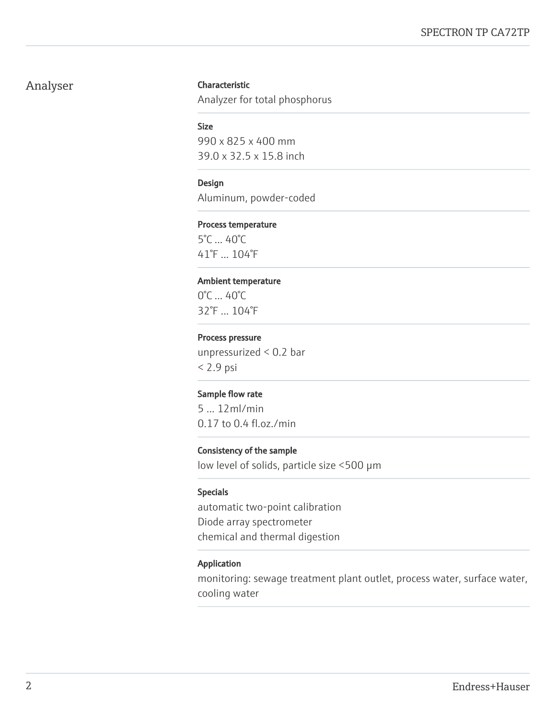#### Analyser Characteristic

Analyzer for total phosphorus

#### Size

990 x 825 x 400 mm 39.0 x 32.5 x 15.8 inch

#### Design

Aluminum, powder-coded

#### Process temperature

5°C ... 40°C 41°F ... 104°F

#### Ambient temperature

0°C ... 40°C 32°F ... 104°F

#### Process pressure

unpressurized < 0.2 bar < 2.9 psi

#### Sample flow rate

5 ... 12ml/min 0.17 to 0.4 fl.oz./min

#### Consistency of the sample

low level of solids, particle size <500 µm

#### Specials

automatic two-point calibration Diode array spectrometer chemical and thermal digestion

#### Application

monitoring: sewage treatment plant outlet, process water, surface water, cooling water